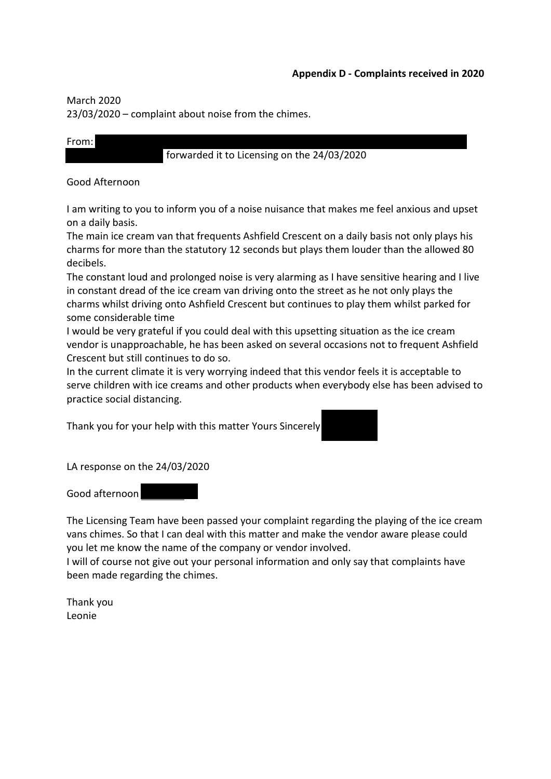## **Appendix D - Complaints received in 2020**

March 2020

23/03/2020 – complaint about noise from the chimes.

## From:

### forwarded it to Licensing on the 24/03/2020

### Good Afternoon

I am writing to you to inform you of a noise nuisance that makes me feel anxious and upset on a daily basis.

The main ice cream van that frequents Ashfield Crescent on a daily basis not only plays his charms for more than the statutory 12 seconds but plays them louder than the allowed 80 decibels.

The constant loud and prolonged noise is very alarming as I have sensitive hearing and I live in constant dread of the ice cream van driving onto the street as he not only plays the charms whilst driving onto Ashfield Crescent but continues to play them whilst parked for some considerable time

I would be very grateful if you could deal with this upsetting situation as the ice cream vendor is unapproachable, he has been asked on several occasions not to frequent Ashfield Crescent but still continues to do so.

In the current climate it is very worrying indeed that this vendor feels it is acceptable to serve children with ice creams and other products when everybody else has been advised to practice social distancing.

Thank you for your help with this matter Yours Sincerely

LA response on the 24/03/2020

Good afternoon

The Licensing Team have been passed your complaint regarding the playing of the ice cream vans chimes. So that I can deal with this matter and make the vendor aware please could you let me know the name of the company or vendor involved.

I will of course not give out your personal information and only say that complaints have been made regarding the chimes.

Thank you Leonie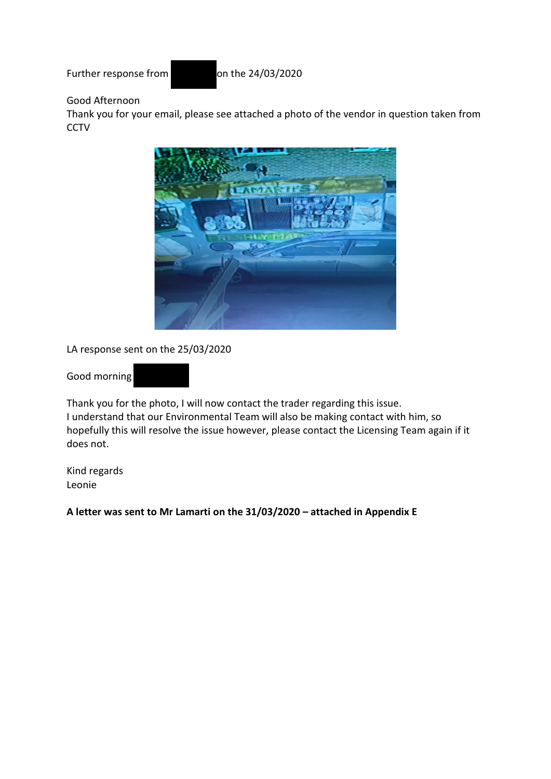Further response from on the 24/03/2020

# Good Afternoon

Thank you for your email, please see attached a photo of the vendor in question taken from **CCTV** 



LA response sent on the 25/03/2020

Good morning



Thank you for the photo, I will now contact the trader regarding this issue. I understand that our Environmental Team will also be making contact with him, so hopefully this will resolve the issue however, please contact the Licensing Team again if it does not.

Kind regards Leonie

**A letter was sent to Mr Lamarti on the 31/03/2020 – attached in Appendix E**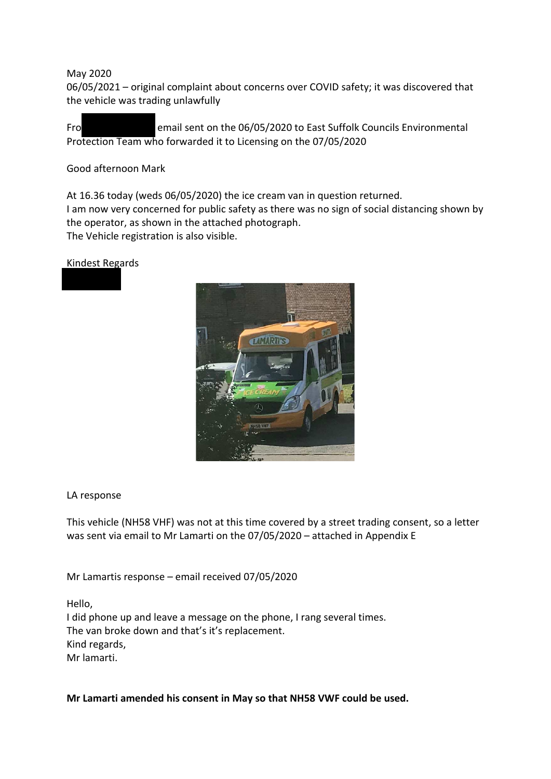May 2020

06/05/2021 – original complaint about concerns over COVID safety; it was discovered that the vehicle was trading unlawfully

Fro email sent on the 06/05/2020 to East Suffolk Councils Environmental Protection Team who forwarded it to Licensing on the 07/05/2020

Good afternoon Mark

At 16.36 today (weds 06/05/2020) the ice cream van in question returned.

I am now very concerned for public safety as there was no sign of social distancing shown by the operator, as shown in the attached photograph.

The Vehicle registration is also visible.

Kindest Regards



### LA response

This vehicle (NH58 VHF) was not at this time covered by a street trading consent, so a letter was sent via email to Mr Lamarti on the 07/05/2020 – attached in Appendix E

Mr Lamartis response – email received 07/05/2020

Hello,

I did phone up and leave a message on the phone, I rang several times. The van broke down and that's it's replacement. Kind regards, Mr lamarti.

**Mr Lamarti amended his consent in May so that NH58 VWF could be used.**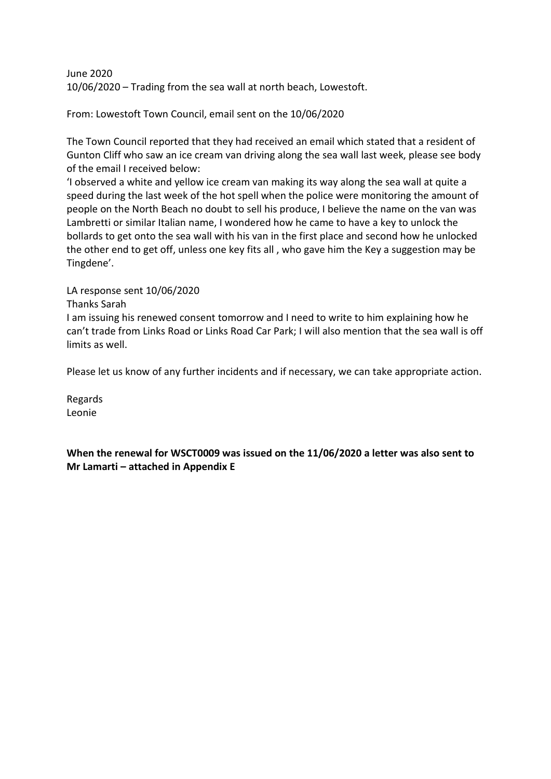June 2020 10/06/2020 – Trading from the sea wall at north beach, Lowestoft.

From: Lowestoft Town Council, email sent on the 10/06/2020

The Town Council reported that they had received an email which stated that a resident of Gunton Cliff who saw an ice cream van driving along the sea wall last week, please see body of the email I received below:

'I observed a white and yellow ice cream van making its way along the sea wall at quite a speed during the last week of the hot spell when the police were monitoring the amount of people on the North Beach no doubt to sell his produce, I believe the name on the van was Lambretti or similar Italian name, I wondered how he came to have a key to unlock the bollards to get onto the sea wall with his van in the first place and second how he unlocked the other end to get off, unless one key fits all , who gave him the Key a suggestion may be Tingdene'.

## LA response sent 10/06/2020

### Thanks Sarah

I am issuing his renewed consent tomorrow and I need to write to him explaining how he can't trade from Links Road or Links Road Car Park; I will also mention that the sea wall is off limits as well.

Please let us know of any further incidents and if necessary, we can take appropriate action.

Regards Leonie

**When the renewal for WSCT0009 was issued on the 11/06/2020 a letter was also sent to Mr Lamarti – attached in Appendix E**